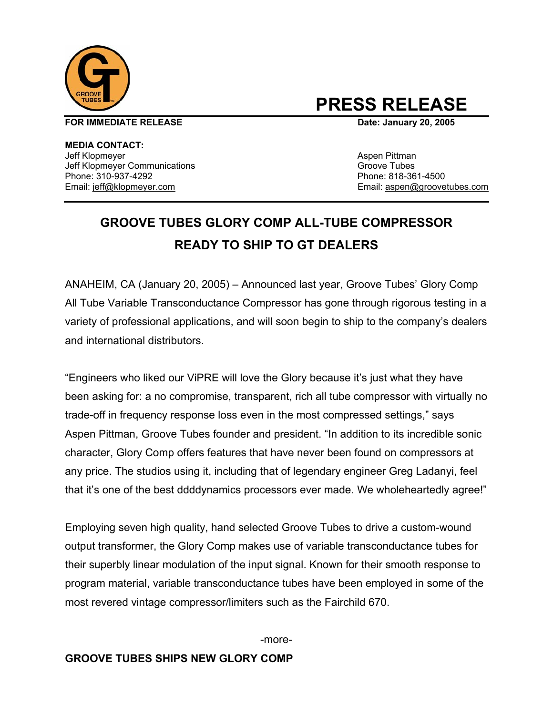

# **PRESS RELEASE**

**FOR IMMEDIATE RELEASE CONSUMING A LOCAL CONSUMING CONSUMING A LOCAL DATE: January 20, 2005** 

**MEDIA CONTACT:**  Jeff Klopmeyer **Aspen Pittman** Jeff Klopmeyer Communications Groove Tubes Phone: 310-937-4292 Phone: 818-361-4500

Email: jeff@klopmeyer.com Email: aspen@groovetubes.com

## **GROOVE TUBES GLORY COMP ALL-TUBE COMPRESSOR READY TO SHIP TO GT DEALERS**

ANAHEIM, CA (January 20, 2005) – Announced last year, Groove Tubes' Glory Comp All Tube Variable Transconductance Compressor has gone through rigorous testing in a variety of professional applications, and will soon begin to ship to the company's dealers and international distributors.

"Engineers who liked our ViPRE will love the Glory because it's just what they have been asking for: a no compromise, transparent, rich all tube compressor with virtually no trade-off in frequency response loss even in the most compressed settings," says Aspen Pittman, Groove Tubes founder and president. "In addition to its incredible sonic character, Glory Comp offers features that have never been found on compressors at any price. The studios using it, including that of legendary engineer Greg Ladanyi, feel that it's one of the best ddddynamics processors ever made. We wholeheartedly agree!"

Employing seven high quality, hand selected Groove Tubes to drive a custom-wound output transformer, the Glory Comp makes use of variable transconductance tubes for their superbly linear modulation of the input signal. Known for their smooth response to program material, variable transconductance tubes have been employed in some of the most revered vintage compressor/limiters such as the Fairchild 670.

-more-

### **GROOVE TUBES SHIPS NEW GLORY COMP**